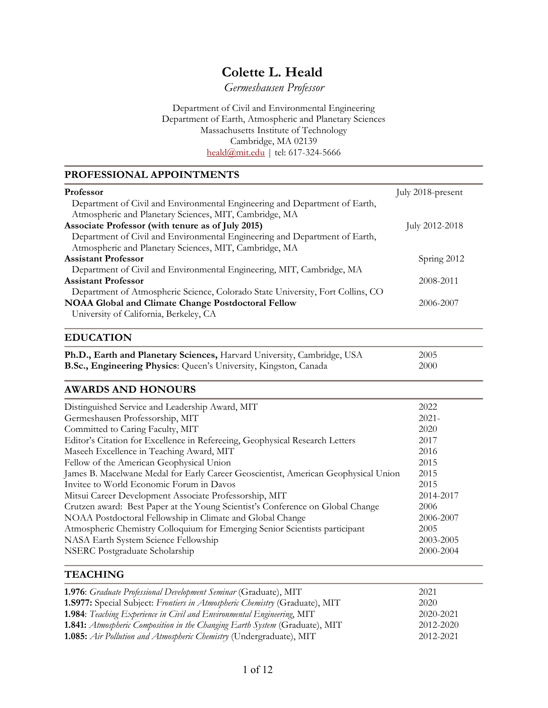# **Colette L. Heald**

*Germeshausen Professor*

Department of Civil and Environmental Engineering Department of Earth, Atmospheric and Planetary Sciences Massachusetts Institute of Technology Cambridge, MA 02139 [heald@mit.edu](mailto:heald@mit.edu) | tel: 617-324-5666

#### **PROFESSIONAL APPOINTMENTS**

| <b>Professor</b>                                                               | July 2018-present |
|--------------------------------------------------------------------------------|-------------------|
| Department of Civil and Environmental Engineering and Department of Earth,     |                   |
| Atmospheric and Planetary Sciences, MIT, Cambridge, MA                         |                   |
| Associate Professor (with tenure as of July 2015)                              | July 2012-2018    |
| Department of Civil and Environmental Engineering and Department of Earth,     |                   |
| Atmospheric and Planetary Sciences, MIT, Cambridge, MA                         |                   |
| <b>Assistant Professor</b>                                                     | Spring 2012       |
| Department of Civil and Environmental Engineering, MIT, Cambridge, MA          |                   |
| <b>Assistant Professor</b>                                                     | 2008-2011         |
| Department of Atmospheric Science, Colorado State University, Fort Collins, CO |                   |
| <b>NOAA Global and Climate Change Postdoctoral Fellow</b>                      | 2006-2007         |
| University of California, Berkeley, CA                                         |                   |
| <b>EDUCATION</b>                                                               |                   |
| Ph.D., Earth and Planetary Sciences, Harvard University, Cambridge, USA        | 2005              |
| B.Sc., Engineering Physics: Queen's University, Kingston, Canada               | 2000              |
| <b>AWARDS AND HONOURS</b>                                                      |                   |
| Distinguished Service and Leadership Award, MIT                                | 2022              |
| Germeshausen Professorship, MIT                                                | $2021 -$          |
| Committed to Caring Faculty, MIT                                               | 2020              |
| Editor's Citation for Excellence in Refereeing, Geophysical Research Letters   | 2017              |
| Maseeh Excellence in Teaching Award, MIT                                       | 2016              |

# NSERC Postgraduate Scholarship 2000-2004 **TEACHING**

| 1.976: Graduate Professional Development Seminar (Graduate), MIT               | 2021      |
|--------------------------------------------------------------------------------|-----------|
| 1.S977: Special Subject: Frontiers in Atmospheric Chemistry (Graduate), MIT    | 2020      |
| <b>1.984</b> : Teaching Experience in Civil and Environmental Engineering, MIT | 2020-2021 |
| 1.841: Atmospheric Composition in the Changing Earth System (Graduate), MIT    | 2012-2020 |
| 1.085: Air Pollution and Atmospheric Chemistry (Undergraduate), MIT            | 2012-2021 |

Fellow of the American Geophysical Union 2015 James B. Macelwane Medal for Early Career Geoscientist, American Geophysical Union 2015 Invitee to World Economic Forum in Davos 2015 Mitsui Career Development Associate Professorship, MIT 2014-2017 Crutzen award: Best Paper at the Young Scientist's Conference on Global Change 2006 NOAA Postdoctoral Fellowship in Climate and Global Change 2006-2007 Atmospheric Chemistry Colloquium for Emerging Senior Scientists participant 2005 NASA Earth System Science Fellowship 2003-2005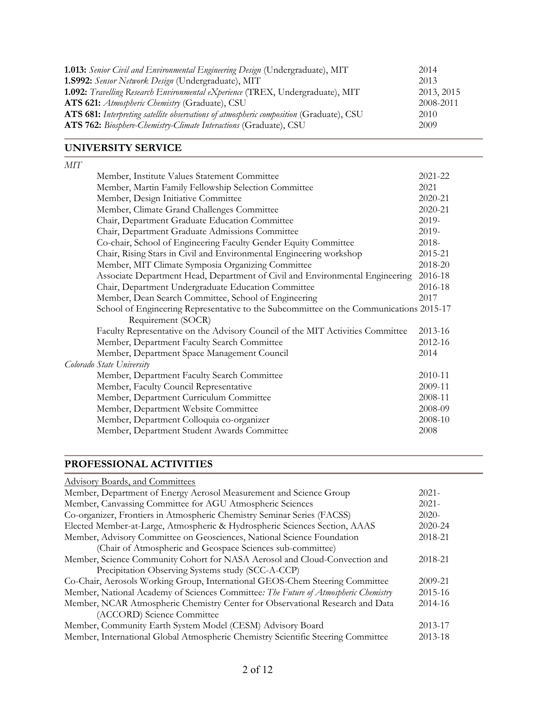| 1.013: Senior Civil and Environmental Engineering Design (Undergraduate), MIT           | 2014       |
|-----------------------------------------------------------------------------------------|------------|
| <b>1.8992:</b> Sensor Network Design (Undergraduate), MIT                               | 2013       |
| 1.092: Travelling Research Environmental eXperience (TREX, Undergraduate), MIT          | 2013, 2015 |
| ATS 621: Atmospheric Chemistry (Graduate), CSU                                          | 2008-2011  |
| ATS 681: Interpreting satellite observations of atmospheric composition (Graduate), CSU | 2010       |
| ATS 762: Biosphere-Chemistry-Climate Interactions (Graduate), CSU                       | 2009       |

### **UNIVERSITY SERVICE**

| $M\!I\!T$                                                                              |             |
|----------------------------------------------------------------------------------------|-------------|
| Member, Institute Values Statement Committee                                           | $2021 - 22$ |
| Member, Martin Family Fellowship Selection Committee                                   | 2021        |
| Member, Design Initiative Committee                                                    | 2020-21     |
| Member, Climate Grand Challenges Committee                                             | 2020-21     |
| Chair, Department Graduate Education Committee                                         | 2019-       |
| Chair, Department Graduate Admissions Committee                                        | 2019-       |
| Co-chair, School of Engineering Faculty Gender Equity Committee                        | 2018-       |
| Chair, Rising Stars in Civil and Environmental Engineering workshop                    | 2015-21     |
| Member, MIT Climate Symposia Organizing Committee                                      | 2018-20     |
| Associate Department Head, Department of Civil and Environmental Engineering           | 2016-18     |
| Chair, Department Undergraduate Education Committee                                    | 2016-18     |
| Member, Dean Search Committee, School of Engineering                                   | 2017        |
| School of Engineering Representative to the Subcommittee on the Communications 2015-17 |             |
| Requirement (SOCR)                                                                     |             |
| Faculty Representative on the Advisory Council of the MIT Activities Committee         | 2013-16     |
| Member, Department Faculty Search Committee                                            | 2012-16     |
| Member, Department Space Management Council                                            | 2014        |
| Colorado State University                                                              |             |
| Member, Department Faculty Search Committee                                            | 2010-11     |
| Member, Faculty Council Representative                                                 | 2009-11     |
| Member, Department Curriculum Committee                                                | 2008-11     |
| Member, Department Website Committee                                                   | 2008-09     |
| Member, Department Colloquia co-organizer                                              | 2008-10     |
| Member, Department Student Awards Committee                                            | 2008        |

## **PROFESSIONAL ACTIVITIES**

| <b>Advisory Boards, and Committees</b>                                              |          |
|-------------------------------------------------------------------------------------|----------|
| Member, Department of Energy Aerosol Measurement and Science Group                  | $2021 -$ |
| Member, Canvassing Committee for AGU Atmospheric Sciences                           | $2021 -$ |
| Co-organizer, Frontiers in Atmospheric Chemistry Seminar Series (FACSS)             | $2020-$  |
| Elected Member-at-Large, Atmospheric & Hydrospheric Sciences Section, AAAS          | 2020-24  |
| Member, Advisory Committee on Geosciences, National Science Foundation              | 2018-21  |
| (Chair of Atmospheric and Geospace Sciences sub-committee)                          |          |
| Member, Science Community Cohort for NASA Aerosol and Cloud-Convection and          | 2018-21  |
| Precipitation Observing Systems study (SCC-A-CCP)                                   |          |
| Co-Chair, Aerosols Working Group, International GEOS-Chem Steering Committee        | 2009-21  |
| Member, National Academy of Sciences Committee: The Future of Atmospheric Chemistry | 2015-16  |
| Member, NCAR Atmospheric Chemistry Center for Observational Research and Data       | 2014-16  |
| (ACCORD) Science Committee                                                          |          |
| Member, Community Earth System Model (CESM) Advisory Board                          | 2013-17  |
| Member, International Global Atmospheric Chemistry Scientific Steering Committee    | 2013-18  |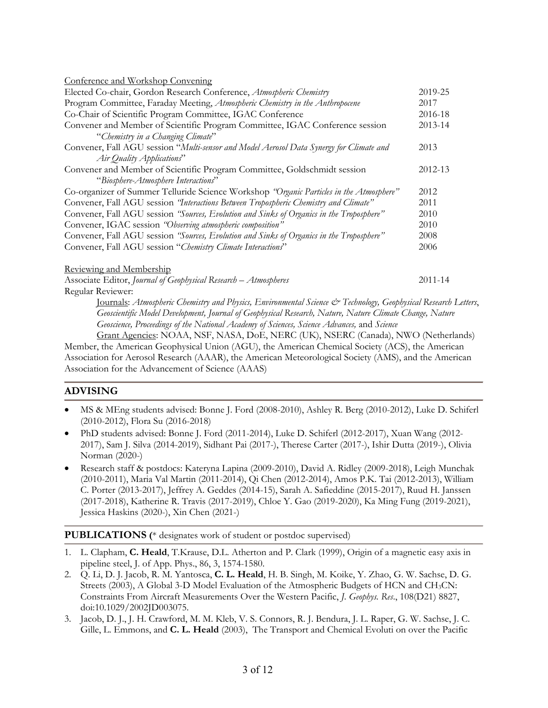| Conference and Workshop Convening                                                        |             |
|------------------------------------------------------------------------------------------|-------------|
| Elected Co-chair, Gordon Research Conference, Atmospheric Chemistry                      | 2019-25     |
| Program Committee, Faraday Meeting, Atmospheric Chemistry in the Anthropocene            | 2017        |
| Co-Chair of Scientific Program Committee, IGAC Conference                                | 2016-18     |
| Convener and Member of Scientific Program Committee, IGAC Conference session             | $2013 - 14$ |
| "Chemistry in a Changing Climate"                                                        |             |
| Convener, Fall AGU session "Multi-sensor and Model Aerosol Data Synergy for Climate and  | 2013        |
| Air Quality Applications"                                                                |             |
| Convener and Member of Scientific Program Committee, Goldschmidt session                 | 2012-13     |
| "Biosphere-Atmosphere Interactions"                                                      |             |
| Co-organizer of Summer Telluride Science Workshop "Organic Particles in the Atmosphere"  | 2012        |
| Convener, Fall AGU session "Interactions Between Tropospheric Chemistry and Climate"     | 2011        |
| Convener, Fall AGU session "Sources, Evolution and Sinks of Organics in the Troposphere" | 2010        |
| Convener, IGAC session "Observing atmospheric composition"                               | 2010        |
| Convener, Fall AGU session "Sources, Evolution and Sinks of Organics in the Troposphere" | 2008        |
| Convener, Fall AGU session "Chemistry Climate Interactions"                              | 2006        |
| Reviewing and Membership                                                                 |             |
| Associate Editor, Journal of Geophysical Research - Atmospheres                          | 2011-14     |

Regular Reviewer:

Journals: *Atmospheric Chemistry and Physics, Environmental Science & Technology, Geophysical Research Letters*, *Geoscientific Model Development, Journal of Geophysical Research, Nature, Nature Climate Change, Nature Geoscience, Proceedings of the National Academy of Sciences, Science Advances,* and *Science*

Grant Agencies: NOAA, NSF, NASA, DoE, NERC (UK), NSERC (Canada), NWO (Netherlands) Member, the American Geophysical Union (AGU), the American Chemical Society (ACS), the American Association for Aerosol Research (AAAR), the American Meteorological Society (AMS), and the American Association for the Advancement of Science (AAAS)

## **ADVISING**

- MS & MEng students advised: Bonne J. Ford (2008-2010), Ashley R. Berg (2010-2012), Luke D. Schiferl (2010-2012), Flora Su (2016-2018)
- PhD students advised: Bonne J. Ford (2011-2014), Luke D. Schiferl (2012-2017), Xuan Wang (2012- 2017), Sam J. Silva (2014-2019), Sidhant Pai (2017-), Therese Carter (2017-), Ishir Dutta (2019-), Olivia Norman (2020-)
- Research staff & postdocs: Kateryna Lapina (2009-2010), David A. Ridley (2009-2018), Leigh Munchak (2010-2011), Maria Val Martin (2011-2014), Qi Chen (2012-2014), Amos P.K. Tai (2012-2013), William C. Porter (2013-2017), Jeffrey A. Geddes (2014-15), Sarah A. Safieddine (2015-2017), Ruud H. Janssen (2017-2018), Katherine R. Travis (2017-2019), Chloe Y. Gao (2019-2020), Ka Ming Fung (2019-2021), Jessica Haskins (2020-), Xin Chen (2021-)

**PUBLICATIONS (**\* designates work of student or postdoc supervised)

- 1. L. Clapham, **C. Heald**, T.Krause, D.L. Atherton and P. Clark (1999), Origin of a magnetic easy axis in pipeline steel, J. of App. Phys., 86, 3, 1574-1580.
- 2. Q. Li, D. J. Jacob, R. M. Yantosca, **C. L. Heald**, H. B. Singh, M. Koike, Y. Zhao, G. W. Sachse, D. G. Streets (2003), A Global 3-D Model Evaluation of the Atmospheric Budgets of HCN and CH3CN: Constraints From Aircraft Measurements Over the Western Pacific, *J. Geophys. Res*., 108(D21) 8827, doi:10.1029/2002JD003075.
- 3. Jacob, D. J., J. H. Crawford, M. M. Kleb, V. S. Connors, R. J. Bendura, J. L. Raper, G. W. Sachse, J. C. Gille, L. Emmons, and **C. L. Heald** (2003), The Transport and Chemical Evoluti on over the Pacific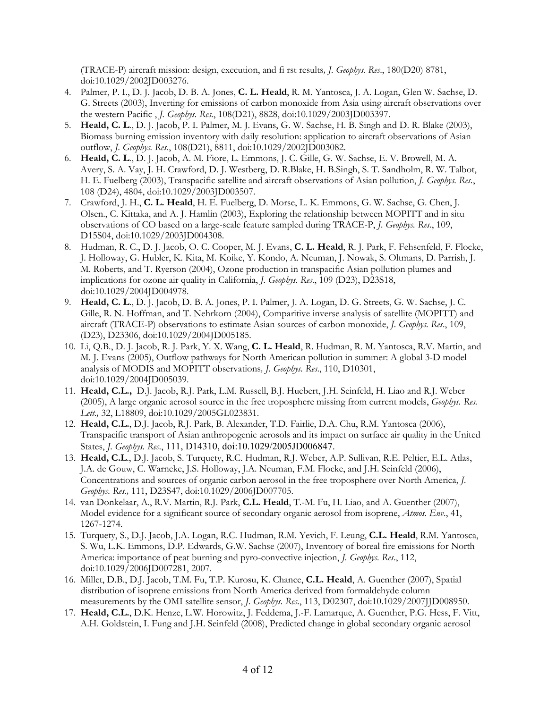(TRACE-P) aircraft mission: design, execution, and fi rst results*, J. Geophys. Res*., 180(D20) 8781, doi:10.1029/2002JD003276.

- 4. Palmer, P. I., D. J. Jacob, D. B. A. Jones, **C. L. Heald**, R. M. Yantosca, J. A. Logan, Glen W. Sachse, D. G. Streets (2003), Inverting for emissions of carbon monoxide from Asia using aircraft observations over the western Pacific , *J. Geophys. Res*., 108(D21), 8828, doi:10.1029/2003JD003397.
- 5. **Heald, C. L**., D. J. Jacob, P. I. Palmer, M. J. Evans, G. W. Sachse, H. B. Singh and D. R. Blake (2003), Biomass burning emission inventory with daily resolution: application to aircraft observations of Asian outflow, *J. Geophys. Res*., 108(D21), 8811, doi:10.1029/2002JD003082.
- 6. **Heald, C. L**., D. J. Jacob, A. M. Fiore, L. Emmons, J. C. Gille, G. W. Sachse, E. V. Browell, M. A. Avery, S. A. Vay, J. H. Crawford, D. J. Westberg, D. R.Blake, H. B.Singh, S. T. Sandholm, R. W. Talbot, H. E. Fuelberg (2003), Transpacific satellite and aircraft observations of Asian pollution, *J. Geophys. Res.*, 108 (D24), 4804, doi:10.1029/2003JD003507.
- 7. Crawford, J. H., **C. L. Heald**, H. E. Fuelberg, D. Morse, L. K. Emmons, G. W. Sachse, G. Chen, J. Olsen., C. Kittaka, and A. J. Hamlin (2003), Exploring the relationship between MOPITT and in situ observations of CO based on a large-scale feature sampled during TRACE-P, *J. Geophys. Res*., 109, D15S04, doi:10.1029/2003JD004308.
- 8. Hudman, R. C., D. J. Jacob, O. C. Cooper, M. J. Evans, **C. L. Heald**, R. J. Park, F. Fehsenfeld, F. Flocke, J. Holloway, G. Hubler, K. Kita, M. Koike, Y. Kondo, A. Neuman, J. Nowak, S. Oltmans, D. Parrish, J. M. Roberts, and T. Ryerson (2004), Ozone production in transpacific Asian pollution plumes and implications for ozone air quality in California, *J. Geophys. Res*., 109 (D23), D23S18, doi:10.1029/2004JD004978.
- 9. **Heald, C. L**., D. J. Jacob, D. B. A. Jones, P. I. Palmer, J. A. Logan, D. G. Streets, G. W. Sachse, J. C. Gille, R. N. Hoffman, and T. Nehrkorn (2004), Comparitive inverse analysis of satellite (MOPITT) and aircraft (TRACE-P) observations to estimate Asian sources of carbon monoxide, *J. Geophys. Res*., 109, (D23), D23306, doi:10.1029/2004JD005185.
- 10. Li, Q.B., D. J. Jacob, R. J. Park, Y. X. Wang, **C. L. Heald**, R. Hudman, R. M. Yantosca, R.V. Martin, and M. J. Evans (2005), Outflow pathways for North American pollution in summer: A global 3-D model analysis of MODIS and MOPITT observations*, J. Geophys. Res*., 110, D10301, doi:10.1029/2004JD005039.
- 11. **Heald, C.L.,** D.J. Jacob, R.J. Park, L.M. Russell, B.J. Huebert, J.H. Seinfeld, H. Liao and R.J. Weber (2005), A large organic aerosol source in the free troposphere missing from current models, *Geophys. Res. Lett.,* 32, L18809, doi:10.1029/2005GL023831.
- 12. **Heald, C.L.**, D.J. Jacob, R.J. Park, B. Alexander, T.D. Fairlie, D.A. Chu, R.M. Yantosca (2006), Transpacific transport of Asian anthropogenic aerosols and its impact on surface air quality in the United States, *J. Geophys. Res*., 111, D14310, doi:10.1029/2005JD006847.
- 13. **Heald, C.L**., D.J. Jacob, S. Turquety, R.C. Hudman, R.J. Weber, A.P. Sullivan, R.E. Peltier, E.L. Atlas, J.A. de Gouw, C. Warneke, J.S. Holloway, J.A. Neuman, F.M. Flocke, and J.H. Seinfeld (2006), Concentrations and sources of organic carbon aerosol in the free troposphere over North America, *J. Geophys. Res.,* 111, D23S47, doi:10.1029/2006JD007705.
- 14. van Donkelaar, A., R.V. Martin, R.J. Park, **C.L. Heald**, T.-M. Fu, H. Liao, and A. Guenther (2007), Model evidence for a significant source of secondary organic aerosol from isoprene, *Atmos. Env*., 41, 1267-1274.
- 15. Turquety, S., D.J. Jacob, J.A. Logan, R.C. Hudman, R.M. Yevich, F. Leung, **C.L. Heald**, R.M. Yantosca, S. Wu, L.K. Emmons, D.P. Edwards, G.W. Sachse (2007), Inventory of boreal fire emissions for North America: importance of peat burning and pyro-convective injection, *J. Geophys. Res*., 112, doi:10.1029/2006JD007281, 2007.
- 16. Millet, D.B., D.J. Jacob, T.M. Fu, T.P. Kurosu, K. Chance, **C.L. Heald**, A. Guenther (2007), Spatial distribution of isoprene emissions from North America derived from formaldehyde column measurements by the OMI satellite sensor, *J. Geophys. Res*., 113, D02307, doi:10.1029/2007JJD008950.
- 17. **Heald, C.L.**, D.K. Henze, L.W. Horowitz, J. Feddema, J.-F. Lamarque, A. Guenther, P.G. Hess, F. Vitt, A.H. Goldstein, I. Fung and J.H. Seinfeld (2008), Predicted change in global secondary organic aerosol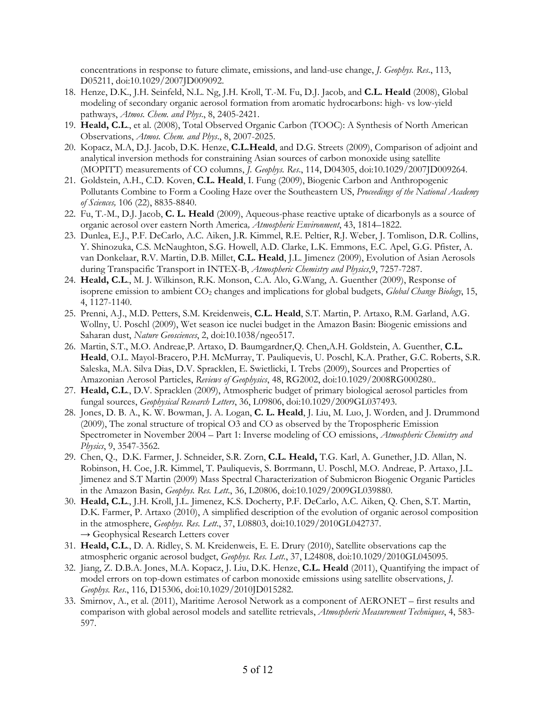concentrations in response to future climate, emissions, and land-use change, *J. Geophys. Res*., 113, D05211, doi:10.1029/2007JD009092.

- 18. Henze, D.K., J.H. Seinfeld, N.L. Ng, J.H. Kroll, T.-M. Fu, D.J. Jacob, and **C.L. Heald** (2008), Global modeling of secondary organic aerosol formation from aromatic hydrocarbons: high- vs low-yield pathways, *Atmos. Chem. and Phys*., 8, 2405-2421.
- 19. **Heald, C.L**., et al. (2008), Total Observed Organic Carbon (TOOC): A Synthesis of North American Observations, *Atmos. Chem. and Phys*., 8, 2007-2025.
- 20. Kopacz, M.A, D.J. Jacob, D.K. Henze, **C.L.Heald**, and D.G. Streets (2009), Comparison of adjoint and analytical inversion methods for constraining Asian sources of carbon monoxide using satellite (MOPITT) measurements of CO columns, *J. Geophys. Res*., 114, D04305, doi:10.1029/2007JD009264.
- 21. Goldstein, A.H., C.D. Koven, **C.L. Heald**, I. Fung (2009), Biogenic Carbon and Anthropogenic Pollutants Combine to Form a Cooling Haze over the Southeastern US, *Proceedings of the National Academy of Sciences,* 106 (22), 8835-8840.
- 22. Fu, T.-M., D.J. Jacob, **C. L. Heald** (2009), Aqueous-phase reactive uptake of dicarbonyls as a source of organic aerosol over eastern North America*, Atmospheric Environment*, 43, 1814–1822.
- 23. Dunlea, E.J., P.F. DeCarlo, A.C. Aiken, J.R. Kimmel, R.E. Peltier, R.J. Weber, J. Tomlison, D.R. Collins, Y. Shinozuka, C.S. McNaughton, S.G. Howell, A.D. Clarke, L.K. Emmons, E.C. Apel, G.G. Pfister, A. van Donkelaar, R.V. Martin, D.B. Millet, **C.L. Heald**, J.L. Jimenez (2009), Evolution of Asian Aerosols during Transpacific Transport in INTEX-B, *Atmospheric Chemistry and Physics*,9, 7257-7287.
- 24. **Heald, C.L**., M. J. Wilkinson, R.K. Monson, C.A. Alo, G.Wang, A. Guenther (2009), Response of isoprene emission to ambient CO2 changes and implications for global budgets, *Global Change Biology*, 15, 4, 1127-1140.
- 25. Prenni, A.J., M.D. Petters, S.M. Kreidenweis, **C.L. Heald**, S.T. Martin, P. Artaxo, R.M. Garland, A.G. Wollny, U. Poschl (2009), Wet season ice nuclei budget in the Amazon Basin: Biogenic emissions and Saharan dust, *Nature Geosciences*, 2, doi:10.1038/ngeo517.
- 26. Martin, S.T., M.O. Andreae,P. Artaxo, D. Baumgardner,Q. Chen,A.H. Goldstein, A. Guenther, **C.L. Heald**, O.L. Mayol-Bracero, P.H. McMurray, T. Pauliquevis, U. Poschl, K.A. Prather, G.C. Roberts, S.R. Saleska, M.A. Silva Dias, D.V. Spracklen, E. Swietlicki, I. Trebs (2009), Sources and Properties of Amazonian Aerosol Particles, *Reviews of Geophysics*, 48, RG2002, doi:10.1029/2008RG000280..
- 27. **Heald, C.L**., D.V. Spracklen (2009), Atmospheric budget of primary biological aerosol particles from fungal sources, *Geophysical Research Letters*, 36, L09806, doi:10.1029/2009GL037493.
- 28. Jones, D. B. A., K. W. Bowman, J. A. Logan, **C. L. Heald**, J. Liu, M. Luo, J. Worden, and J. Drummond (2009), The zonal structure of tropical O3 and CO as observed by the Tropospheric Emission Spectrometer in November 2004 – Part 1: Inverse modeling of CO emissions, *Atmospheric Chemistry and Physics*, 9, 3547-3562.
- 29. Chen, Q., D.K. Farmer, J. Schneider, S.R. Zorn, **C.L. Heald,** T.G. Karl, A. Gunether, J.D. Allan, N. Robinson, H. Coe, J.R. Kimmel, T. Pauliquevis, S. Borrmann, U. Poschl, M.O. Andreae, P. Artaxo, J.L. Jimenez and S.T Martin (2009) Mass Spectral Characterization of Submicron Biogenic Organic Particles in the Amazon Basin, *Geophys. Res. Lett*., 36, L20806, doi:10.1029/2009GL039880.
- 30. **Heald, C.L**., J.H. Kroll, J.L. Jimenez, K.S. Docherty, P.F. DeCarlo, A.C. Aiken, Q. Chen, S.T. Martin, D.K. Farmer, P. Artaxo (2010), A simplified description of the evolution of organic aerosol composition in the atmosphere, *Geophys. Res. Lett*., 37, L08803, doi:10.1029/2010GL042737. **→** Geophysical Research Letters cover
- 31. **Heald, C.L**., D. A. Ridley, S. M. Kreidenweis, E. E. Drury (2010), Satellite observations cap the atmospheric organic aerosol budget, *Geophys. Res. Lett*., 37, L24808, doi:10.1029/2010GL045095.
- 32. Jiang, Z. D.B.A. Jones, M.A. Kopacz, J. Liu, D.K. Henze, **C.L. Heald** (2011), Quantifying the impact of model errors on top-down estimates of carbon monoxide emissions using satellite observations, *J. Geophys. Res*., 116, D15306, doi:10.1029/2010JD015282.
- 33. Smirnov, A., et al. (2011), Maritime Aerosol Network as a component of AERONET first results and comparison with global aerosol models and satellite retrievals, *Atmospheric Measurement Techniques*, 4, 583- 597.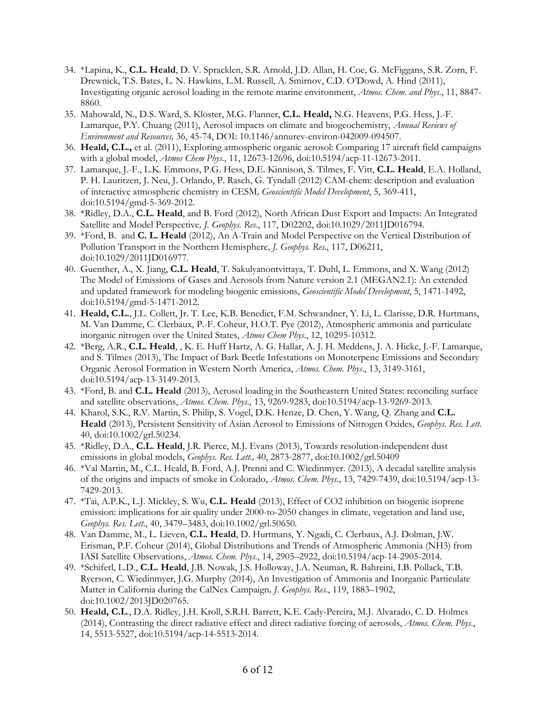- 34. \*Lapina, K., **C.L. Heald**, D. V. Spracklen, S.R. Arnold, J.D. Allan, H. Coe, G. McFiggans, S.R. Zorn, F. Drewnick, T.S. Bates, L. N. Hawkins, L.M. Russell, A. Smirnov, C.D. O'Dowd, A. Hind (2011), Investigating organic aerosol loading in the remote marine environment, *Atmos. Chem. and Phys*., 11, 8847- 8860.
- 35. Mahowald, N., D.S. Ward, S. Kloster, M.G. Flanner, **C.L. Heald,** N.G. Heavens, P.G. Hess, J.-F. Lamarque, P.Y. Chuang (2011), Aerosol impacts on climate and biogeochemistry, *Annual Reviews of Environment and Resources,* 36, 45-74, DOI: 10.1146/annurev-environ-042009-094507.
- 36. **Heald, C.L.,** et al. (2011), Exploring atmospheric organic aerosol: Comparing 17 aircraft field campaigns with a global model, *Atmos Chem Phys*., 11, 12673-12696, doi:10.5194/acp-11-12673-2011.
- 37. Lamarque, J.-F., L.K. Emmons, P.G. Hess, D.E. Kinnison, S. Tilmes, F. Vitt, **C.L. Heald**, E.A. Holland, P. H. Lauritzen, J. Neu, J. Orlando, P. Rasch, G. Tyndall (2012) CAM-chem: description and evaluation of interactive atmospheric chemistry in CESM*, Geoscientific Model Development*, 5, 369-411, doi:10.5194/gmd-5-369-2012.
- 38. \*Ridley, D.A., **C.L. Heald**, and B. Ford (2012), North African Dust Export and Impacts: An Integrated Satellite and Model Perspective*, J. Geophys. Res*., 117, D02202, doi:10.1029/2011JD016794.
- 39. \*Ford, B. and **C. L. Heald** (2012), An A-Train and Model Perspective on the Vertical Distribution of Pollution Transport in the Northern Hemisphere, *J. Geophys. Res*., 117, D06211, doi:10.1029/2011JD016977.
- 40. Guenther, A., X. Jiang, **C.L. Heald**, T. Sakulyanontvittaya, T. Duhl, L. Emmons, and X. Wang (2012) The Model of Emissions of Gases and Aerosols from Nature version 2.1 (MEGAN2.1): An extended and updated framework for modeling biogenic emissions, *Geoscientific Model Development*, 5, 1471-1492, doi:10.5194/gmd-5-1471-2012.
- 41. **Heald, C.L.**, J.L. Collett, Jr. T. Lee, K.B. Benedict, F.M. Schwandner, Y. Li, L. Clarisse, D.R. Hurtmans, M. Van Damme, C. Clerbaux, P.-F. Coheur, H.O.T. Pye (2012), Atmospheric ammonia and particulate inorganic nitrogen over the United States, *Atmos Chem Phys*., 12, 10295-10312.
- 42. \*Berg, A.R., **C.L. Heald**, , K. E. Huff Hartz, A. G. Hallar, A. J. H. Meddens, J. A. Hicke, J.-F. Lamarque, and S. Tilmes (2013), The Impact of Bark Beetle Infestations on Monoterpene Emissions and Secondary Organic Aerosol Formation in Western North America, *Atmos. Chem. Phys*., 13, 3149-3161, doi:10.5194/acp-13-3149-2013.
- 43. \*Ford, B. and **C.L. Heald** (2013), Aerosol loading in the Southeastern United States: reconciling surface and satellite observations, *Atmos. Chem. Phys*., 13, 9269-9283, doi:10.5194/acp-13-9269-2013.
- 44. Kharol, S.K., R.V. Martin, S. Philip, S. Vogel, D.K. Henze, D. Chen, Y. Wang, Q. Zhang and **C.L. Heald** (2013), Persistent Sensitivity of Asian Aerosol to Emissions of Nitrogen Oxides, *Geophys. Res. Lett*. 40, doi:10.1002/grl.50234.
- 45. \*Ridley, D.A., **C.L. Heald**, J.R. Pierce, M.J. Evans (2013), Towards resolution-independent dust emissions in global models, *Geophys. Res. Lett.,* 40, 2873-2877, doi:10.1002/grl.50409
- 46. \*Val Martin, M., C.L. Heald, B. Ford, A.J. Prenni and C. Wiedinmyer. (2013), A decadal satellite analysis of the origins and impacts of smoke in Colorado, *Atmos. Chem. Phys*., 13, 7429-7439, doi:10.5194/acp-13- 7429-2013.
- 47. \*Tai, A.P.K., L.J. Mickley, S. Wu, **C.L. Heald** (2013), Effect of CO2 inhibition on biogenic isoprene emission: implications for air quality under 2000-to-2050 changes in climate, vegetation and land use, *Geophys. Res. Lett*., 40, 3479–3483, doi:10.1002/grl.50650.
- 48. Van Damme, M., L. Lieven, **C.L. Heald**, D. Hurtmans, Y. Ngadi, C. Clerbaux, A.J. Dolman, J.W. Erisman, P.F. Coheur (2014), Global Distributions and Trends of Atmospheric Ammonia (NH3) from IASI Satellite Observations, *Atmos. Chem. Phys*., 14, 2905–2922, doi:10.5194/acp-14-2905-2014.
- 49. \*Schiferl, L.D., **C.L. Heald**, J.B. Nowak, J.S. Holloway, J.A. Neuman, R. Bahreini, I.B. Pollack, T.B. Ryerson, C. Wiedinmyer, J.G. Murphy (2014), An Investigation of Ammonia and Inorganic Particulate Matter in California during the CalNex Campaign*, J. Geophys. Res*., 119, 1883–1902, doi:10.1002/2013JD020765.
- 50. **Heald, C.L**., D.A. Ridley, J.H. Kroll, S.R.H. Barrett, K.E. Cady-Pereira, M.J. Alvarado, C. D. Holmes (2014), Contrasting the direct radiative effect and direct radiative forcing of aerosols, *Atmos. Chem. Phys*., 14, 5513-5527, doi:10.5194/acp-14-5513-2014.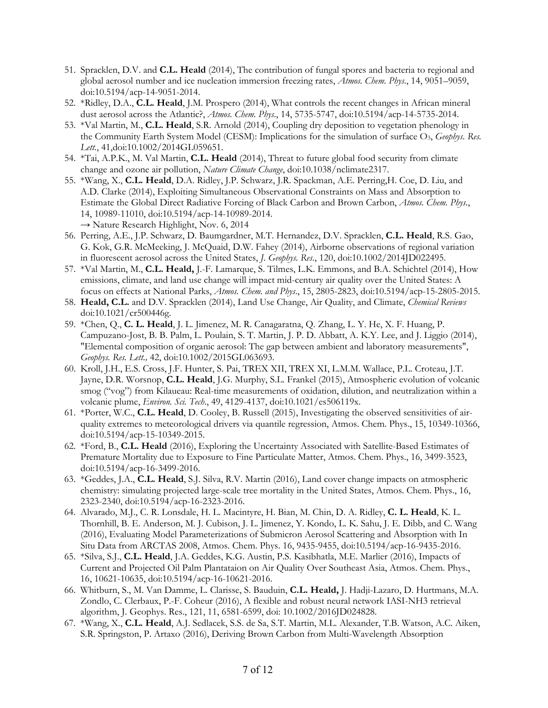- 51. Spracklen, D.V. and **C.L. Heald** (2014), The contribution of fungal spores and bacteria to regional and global aerosol number and ice nucleation immersion freezing rates, *Atmos. Chem. Phys*., 14, 9051–9059, doi:10.5194/acp-14-9051-2014.
- 52. \*Ridley, D.A., **C.L. Heald**, J.M. Prospero (2014), What controls the recent changes in African mineral dust aerosol across the Atlantic?, *Atmos. Chem. Phys*., 14, 5735-5747, doi:10.5194/acp-14-5735-2014.
- 53. \*Val Martin, M., **C.L. Heald**, S.R. Arnold (2014), Coupling dry deposition to vegetation phenology in the Community Earth System Model (CESM): Implications for the simulation of surface O<sub>3</sub>, *Geophys. Res. Lett.*, 41,doi:10.1002/2014GL059651.
- 54. \*Tai, A.P.K., M. Val Martin, **C.L. Heald** (2014), Threat to future global food security from climate change and ozone air pollution, *Nature Climate Change*, doi:10.1038/nclimate2317.
- 55. \*Wang, X., **C.L. Heald**, D.A. Ridley, J.P. Schwarz, J.R. Spackman, A.E. Perring,H. Coe, D. Liu, and A.D. Clarke (2014), Exploiting Simultaneous Observational Constraints on Mass and Absorption to Estimate the Global Direct Radiative Forcing of Black Carbon and Brown Carbon, *Atmos. Chem. Phys*., 14, 10989-11010, doi:10.5194/acp-14-10989-2014. → Nature Research Highlight, Nov. 6, 2014
- 56. Perring, A.E., J.P. Schwarz, D. Baumgardner, M.T. Hernandez, D.V. Spracklen, **C.L. Heald**, R.S. Gao, G. Kok, G.R. McMeeking, J. McQuaid, D.W. Fahey (2014), Airborne observations of regional variation in fluorescent aerosol across the United States, *J. Geophys. Res*., 120, doi:10.1002/2014JD022495.
- 57. \*Val Martin, M., **C.L. Heald,** J.-F. Lamarque, S. Tilmes, L.K. Emmons, and B.A. Schichtel (2014), How emissions, climate, and land use change will impact mid-century air quality over the United States: A focus on effects at National Parks, *Atmos. Chem. and Phys*., 15, 2805-2823, doi:10.5194/acp-15-2805-2015.
- 58. **Heald, C.L.** and D.V. Spracklen (2014), Land Use Change, Air Quality, and Climate, *Chemical Reviews* doi:10.1021/cr500446g.
- 59. \*Chen, Q., **C. L. Heald**, J. L. Jimenez, M. R. Canagaratna, Q. Zhang, L. Y. He, X. F. Huang, P. Campuzano-Jost, B. B. Palm, L. Poulain, S. T. Martin, J. P. D. Abbatt, A. K.Y. Lee, and J. Liggio (2014), "Elemental composition of organic aerosol: The gap between ambient and laboratory measurements", *Geophys. Res. Lett.,* 42, doi:10.1002/2015GL063693.
- 60. Kroll, J.H., E.S. Cross, J.F. Hunter, S. Pai, TREX XII, TREX XI, L.M.M. Wallace, P.L. Croteau, J.T. Jayne, D.R. Worsnop, **C.L. Heald**, J.G. Murphy, S.L. Frankel (2015), Atmospheric evolution of volcanic smog ("vog") from Kilaueau: Real-time measurements of oxidation, dilution, and neutralization within a volcanic plume, *Environ. Sci. Tech*., 49, 4129-4137, doi:10.1021/es506119x.
- 61. \*Porter, W.C., **C.L. Heald**, D. Cooley, B. Russell (2015), Investigating the observed sensitivities of airquality extremes to meteorological drivers via quantile regression, Atmos. Chem. Phys., 15, 10349-10366, doi:10.5194/acp-15-10349-2015.
- 62. \*Ford, B., **C.L. Heald** (2016), Exploring the Uncertainty Associated with Satellite-Based Estimates of Premature Mortality due to Exposure to Fine Particulate Matter, Atmos. Chem. Phys., 16, 3499-3523, doi:10.5194/acp-16-3499-2016.
- 63. \*Geddes, J.A., **C.L. Heald**, S.J. Silva, R.V. Martin (2016), Land cover change impacts on atmospheric chemistry: simulating projected large-scale tree mortality in the United States, Atmos. Chem. Phys., 16, 2323-2340, doi:10.5194/acp-16-2323-2016.
- 64. Alvarado, M.J., C. R. Lonsdale, H. L. Macintyre, H. Bian, M. Chin, D. A. Ridley, **C. L. Heald**, K. L. Thornhill, B. E. Anderson, M. J. Cubison, J. L. Jimenez, Y. Kondo, L. K. Sahu, J. E. Dibb, and C. Wang (2016), Evaluating Model Parameterizations of Submicron Aerosol Scattering and Absorption with In Situ Data from ARCTAS 2008, Atmos. Chem. Phys. 16, 9435-9455, doi:10.5194/acp-16-9435-2016.
- 65. \*Silva, S.J., **C.L. Heald**, J.A. Geddes, K.G. Austin, P.S. Kasibhatla, M.E. Marlier (2016), Impacts of Current and Projected Oil Palm Plantataion on Air Quality Over Southeast Asia, Atmos. Chem. Phys., 16, 10621-10635, doi:10.5194/acp-16-10621-2016.
- 66. Whitburn, S., M. Van Damme, L. Clarisse, S. Bauduin, **C.L. Heald,** J. Hadji-Lazaro, D. Hurtmans, M.A. Zondlo, C. Clerbaux, P.-F. Coheur (2016), A flexible and robust neural network IASI-NH3 retrieval algorithm, J. Geophys. Res., 121, 11, 6581-6599, doi: 10.1002/2016JD024828.
- 67. \*Wang, X., **C.L. Heald**, A.J. Sedlacek, S.S. de Sa, S.T. Martin, M.L. Alexander, T.B. Watson, A.C. Aiken, S.R. Springston, P. Artaxo (2016), Deriving Brown Carbon from Multi-Wavelength Absorption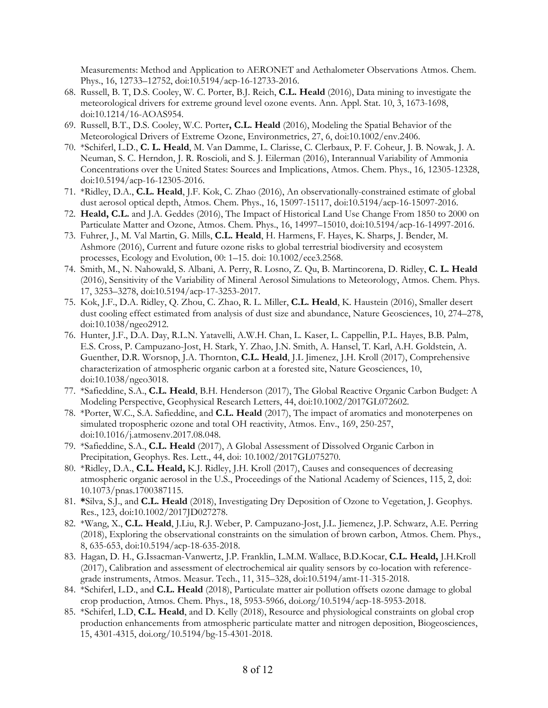Measurements: Method and Application to AERONET and Aethalometer Observations Atmos. Chem. Phys., 16, 12733–12752, doi:10.5194/acp-16-12733-2016.

- 68. Russell, B. T, D.S. Cooley, W. C. Porter, B.J. Reich, **C.L. Heald** (2016), Data mining to investigate the meteorological drivers for extreme ground level ozone events. Ann. Appl. Stat. 10, 3, 1673-1698, doi:10.1214/16-AOAS954.
- 69. Russell, B.T., D.S. Cooley, W.C. Porter**, C.L. Heald** (2016), Modeling the Spatial Behavior of the Meteorological Drivers of Extreme Ozone, Environmetrics, 27, 6, doi:10.1002/env.2406.
- 70. \*Schiferl, L.D., **C. L. Heald**, M. Van Damme, L. Clarisse, C. Clerbaux, P. F. Coheur, J. B. Nowak, J. A. Neuman, S. C. Herndon, J. R. Roscioli, and S. J. Eilerman (2016), Interannual Variability of Ammonia Concentrations over the United States: Sources and Implications, Atmos. Chem. Phys., 16, 12305-12328, doi:10.5194/acp-16-12305-2016.
- 71. \*Ridley, D.A., **C.L. Heald**, J.F. Kok, C. Zhao (2016), An observationally-constrained estimate of global dust aerosol optical depth, Atmos. Chem. Phys., 16, 15097-15117, doi:10.5194/acp-16-15097-2016.
- 72. **Heald, C.L.** and J.A. Geddes (2016), The Impact of Historical Land Use Change From 1850 to 2000 on Particulate Matter and Ozone, Atmos. Chem. Phys., 16, 14997–15010, doi:10.5194/acp-16-14997-2016.
- 73. Fuhrer, J., M. Val Martin, G. Mills, **C.L. Heald**, H. Harmens, F. Hayes, K. Sharps, J. Bender, M. Ashmore (2016), Current and future ozone risks to global terrestrial biodiversity and ecosystem processes, Ecology and Evolution, 00: 1–15. doi: 10.1002/ece3.2568.
- 74. Smith, M., N. Nahowald, S. Albani, A. Perry, R. Losno, Z. Qu, B. Martincorena, D. Ridley, **C. L. Heald** (2016), Sensitivity of the Variability of Mineral Aerosol Simulations to Meteorology, Atmos. Chem. Phys. 17, 3253–3278, doi:10.5194/acp-17-3253-2017.
- 75. Kok, J.F., D.A. Ridley, Q. Zhou, C. Zhao, R. L. Miller, **C.L. Heald**, K. Haustein (2016), Smaller desert dust cooling effect estimated from analysis of dust size and abundance, Nature Geosciences, 10, 274–278, doi:10.1038/ngeo2912.
- 76. Hunter, J.F., D.A. Day, R.L.N. Yatavelli, A.W.H. Chan, L. Kaser, L. Cappellin, P.L. Hayes, B.B. Palm, E.S. Cross, P. Campuzano-Jost, H. Stark, Y. Zhao, J.N. Smith, A. Hansel, T. Karl, A.H. Goldstein, A. Guenther, D.R. Worsnop, J.A. Thornton, **C.L. Heald**, J.L Jimenez, J.H. Kroll (2017), Comprehensive characterization of atmospheric organic carbon at a forested site, Nature Geosciences, 10, doi:10.1038/ngeo3018.
- 77. \*Safieddine, S.A., **C.L. Heald**, B.H. Henderson (2017), The Global Reactive Organic Carbon Budget: A Modeling Perspective, Geophysical Research Letters, 44, doi:10.1002/2017GL072602.
- 78. \*Porter, W.C., S.A. Safieddine, and **C.L. Heald** (2017), The impact of aromatics and monoterpenes on simulated tropospheric ozone and total OH reactivity, Atmos. Env., 169, 250-257, doi:10.1016/j.atmosenv.2017.08.048.
- 79. \*Safieddine, S.A., **C.L. Heald** (2017), A Global Assessment of Dissolved Organic Carbon in Precipitation, Geophys. Res. Lett., 44, doi: 10.1002/2017GL075270.
- 80. \*Ridley, D.A., **C.L. Heald,** K.J. Ridley, J.H. Kroll (2017), Causes and consequences of decreasing atmospheric organic aerosol in the U.S., Proceedings of the National Academy of Sciences, 115, 2, doi: 10.1073/pnas.1700387115.
- 81. **\***Silva, S.J., and **C.L. Heald** (2018), Investigating Dry Deposition of Ozone to Vegetation, J. Geophys. Res., 123, doi:10.1002/2017JD027278.
- 82. \*Wang, X., **C.L. Heald**, J.Liu, R.J. Weber, P. Campuzano-Jost, J.L. Jiemenez, J.P. Schwarz, A.E. Perring (2018), Exploring the observational constraints on the simulation of brown carbon, Atmos. Chem. Phys., 8, 635-653, doi:10.5194/acp-18-635-2018.
- 83. Hagan, D. H., G.Issacman-Vanwertz, J.P. Franklin, L.M.M. Wallace, B.D.Kocar, **C.L. Heald,** J.H.Kroll (2017), Calibration and assessment of electrochemical air quality sensors by co-location with referencegrade instruments, Atmos. Measur. Tech., 11, 315–328, doi:10.5194/amt-11-315-2018.
- 84. \*Schiferl, L.D., and **C.L. Heald** (2018), Particulate matter air pollution offsets ozone damage to global crop production, Atmos. Chem. Phys., 18, 5953-5966, doi.org/10.5194/acp-18-5953-2018.
- 85. \*Schiferl, L.D, **C.L. Heald**, and D. Kelly (2018), Resource and physiological constraints on global crop production enhancements from atmospheric particulate matter and nitrogen deposition, Biogeosciences, 15, 4301-4315, doi.org/10.5194/bg-15-4301-2018.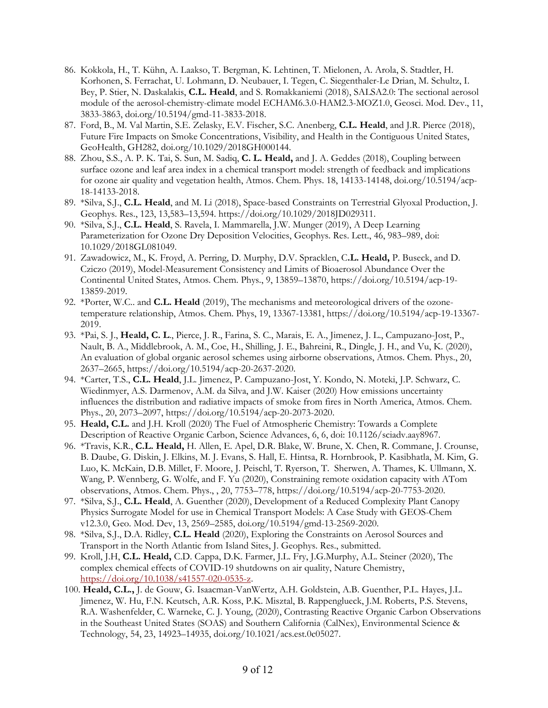- 86. Kokkola, H., T. Kühn, A. Laakso, T. Bergman, K. Lehtinen, T. Mielonen, A. Arola, S. Stadtler, H. Korhonen, S. Ferrachat, U. Lohmann, D. Neubauer, I. Tegen, C. Siegenthaler-Le Drian, M. Schultz, I. Bey, P. Stier, N. Daskalakis, **C.L. Heald**, and S. Romakkaniemi (2018), SALSA2.0: The sectional aerosol module of the aerosol-chemistry-climate model ECHAM6.3.0-HAM2.3-MOZ1.0, Geosci. Mod. Dev., 11, 3833-3863, doi.org/10.5194/gmd-11-3833-2018.
- 87. Ford, B., M. Val Martin, S.E. Zelasky, E.V. Fischer, S.C. Anenberg, **C.L. Heald**, and J.R. Pierce (2018), Future Fire Impacts on Smoke Concentrations, Visibility, and Health in the Contiguous United States, GeoHealth, GH282, doi.org/10.1029/2018GH000144.
- 88. Zhou, S.S., A. P. K. Tai, S. Sun, M. Sadiq, **C. L. Heald,** and J. A. Geddes (2018), Coupling between surface ozone and leaf area index in a chemical transport model: strength of feedback and implications for ozone air quality and vegetation health, Atmos. Chem. Phys. 18, 14133-14148, doi.org/10.5194/acp-18-14133-2018.
- 89. \*Silva, S.J., **C.L. Heald**, and M. Li (2018), Space-based Constraints on Terrestrial Glyoxal Production, J. Geophys. Res., 123, 13,583–13,594. https://doi.org/10.1029/2018JD029311.
- 90. \*Silva, S.J., **C.L. Heald**, S. Ravela, I. Mammarella, J.W. Munger (2019), A Deep Learning Parameterization for Ozone Dry Deposition Velocities, Geophys. Res. Lett., 46, 983–989, doi: 10.1029/2018GL081049.
- 91. Zawadowicz, M., K. Froyd, A. Perring, D. Murphy, D.V. Spracklen, C**.L. Heald,** P. Buseck, and D. Cziczo (2019), Model-Measurement Consistency and Limits of Bioaerosol Abundance Over the Continental United States, Atmos. Chem. Phys., 9, 13859–13870, https://doi.org/10.5194/acp-19- 13859-2019.
- 92. \*Porter, W.C.. and **C.L. Heald** (2019), The mechanisms and meteorological drivers of the ozonetemperature relationship, Atmos. Chem. Phys, 19, 13367-13381, https://doi.org/10.5194/acp-19-13367- 2019.
- 93. \*Pai, S. J., **Heald, C. L**., Pierce, J. R., Farina, S. C., Marais, E. A., Jimenez, J. L., Campuzano-Jost, P., Nault, B. A., Middlebrook, A. M., Coe, H., Shilling, J. E., Bahreini, R., Dingle, J. H., and Vu, K. (2020), An evaluation of global organic aerosol schemes using airborne observations, Atmos. Chem. Phys., 20, 2637–2665, https://doi.org/10.5194/acp-20-2637-2020.
- 94. \*Carter, T.S., **C.L. Heald**, J.L. Jimenez, P. Campuzano-Jost, Y. Kondo, N. Moteki, J.P. Schwarz, C. Wiedinmyer, A.S. Darmenov, A.M. da Silva, and J.W. Kaiser (2020) How emissions uncertainty influences the distribution and radiative impacts of smoke from fires in North America, Atmos. Chem. Phys., 20, 2073–2097, https://doi.org/10.5194/acp-20-2073-2020.
- 95. **Heald, C.L.** and J.H. Kroll (2020) The Fuel of Atmospheric Chemistry: Towards a Complete Description of Reactive Organic Carbon, Science Advances, 6, 6, doi: 10.1126/sciadv.aay8967.
- 96. \*Travis, K.R., **C.L. Heald,** H. Allen, E. Apel, D.R. Blake, W. Brune, X. Chen, R. Commane, J. Crounse, B. Daube, G. Diskin, J. Elkins, M. J. Evans, S. Hall, E. Hintsa, R. Hornbrook, P. Kasibhatla, M. Kim, G. Luo, K. McKain, D.B. Millet, F. Moore, J. Peischl, T. Ryerson, T. Sherwen, A. Thames, K. Ullmann, X. Wang, P. Wennberg, G. Wolfe, and F. Yu (2020), Constraining remote oxidation capacity with ATom observations, Atmos. Chem. Phys., , 20, 7753–778, https://doi.org/10.5194/acp-20-7753-2020.
- 97. \*Silva, S.J., **C.L. Heald**, A. Guenther (2020), Development of a Reduced Complexity Plant Canopy Physics Surrogate Model for use in Chemical Transport Models: A Case Study with GEOS-Chem v12.3.0, Geo. Mod. Dev, 13, 2569–2585, doi.org/10.5194/gmd-13-2569-2020.
- 98. \*Silva, S.J., D.A. Ridley, **C.L. Heald** (2020), Exploring the Constraints on Aerosol Sources and Transport in the North Atlantic from Island Sites, J. Geophys. Res., submitted.
- 99. Kroll, J.H, **C.L. Heald,** C.D. Cappa, D.K. Farmer, J.L. Fry, J.G.Murphy, A.L. Steiner (2020), The complex chemical effects of COVID-19 shutdowns on air quality, Nature Chemistry, [https://doi.org/10.1038/s41557-020-0535-z.](https://doi.org/10.1038/s41557-020-0535-z)
- 100. **Heald, C.L.,** J. de Gouw, G. Isaacman-VanWertz, A.H. Goldstein, A.B. Guenther, P.L. Hayes, J.L. Jimenez, W. Hu, F.N. Keutsch, A.R. Koss, P.K. Misztal, B. Rappenglueck, J.M. Roberts, P.S. Stevens, R.A. Washenfelder, C. Warneke, C. J. Young, (2020), Contrasting Reactive Organic Carbon Observations in the Southeast United States (SOAS) and Southern California (CalNex), Environmental Science & Technology, 54, 23, 14923–14935, doi.org/10.1021/acs.est.0c05027.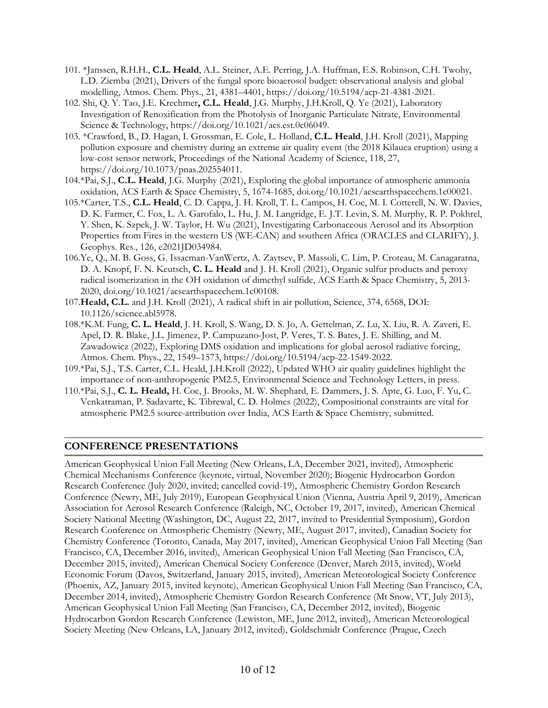- 101. \*Janssen, R.H.H., **C.L. Heald**, A.L. Steiner, A.E. Perring, J.A. Huffman, E.S. Robinson, C.H. Twohy, L.D. Ziemba (2021), Drivers of the fungal spore bioaerosol budget: observational analysis and global modelling, Atmos. Chem. Phys., 21, 4381–4401, https://doi.org/10.5194/acp-21-4381-2021.
- 102. Shi, Q. Y. Tao, J.E. Krechmer**, C.L. Heald**, J.G. Murphy, J.H.Kroll, Q. Ye (2021), Laboratory Investigation of Renoxification from the Photolysis of Inorganic Particulate Nitrate, Environmental Science & Technology, https://doi.org/10.1021/acs.est.0c06049.
- 103. \*Crawford, B., D. Hagan, I. Grossman, E. Cole, L. Holland, **C.L. Heald**, J.H. Kroll (2021), Mapping pollution exposure and chemistry during an extreme air quality event (the 2018 Kilauea eruption) using a low-cost sensor network, Proceedings of the National Academy of Science, 118, 27, https://doi.org/10.1073/pnas.202554011.
- 104.\*Pai, S.J., **C.L. Heald**, J.G. Murphy (2021), Exploring the global importance of atmospheric ammonia oxidation, ACS Earth & Space Chemistry, 5, 1674-1685, doi.org/10.1021/acsearthspacechem.1c00021.
- 105.\*Carter, T.S., **C.L. Heald**, C. D. Cappa, J. H. Kroll, T. L. Campos, H. Coe, M. I. Cotterell, N. W. Davies, D. K. Farmer, C. Fox, L. A. Garofalo, L. Hu, J. M. Langridge, E. J.T. Levin, S. M. Murphy, R. P. Pokhrel, Y. Shen, K. Szpek, J. W. Taylor, H. Wu (2021), Investigating Carbonaceous Aerosol and its Absorption Properties from Fires in the western US (WE-CAN) and southern Africa (ORACLES and CLARIFY), J. Geophys. Res., 126, e2021JD034984.
- 106.Ye, Q., M. B. Goss, G. Issacman-VanWertz, A. Zaytsev, P. Massoli, C. Lim, P. Croteau, M. Canagaratna, D. A. Knopf, F. N. Keutsch, **C. L. Heald** and J. H. Kroll (2021), Organic sulfur products and peroxy radical isomerization in the OH oxidation of dimethyl sulfide, ACS Earth & Space Chemistry, 5, 2013- 2020, doi.org/10.1021/acsearthspacechem.1c00108.
- 107.**Heald, C.L.** and J.H. Kroll (2021), A radical shift in air pollution, Science, 374, 6568, DOI: 10.1126/science.abl5978.
- 108.\*K.M. Fung, **C. L. Heald**, J. H. Kroll, S. Wang, D. S. Jo, A. Gettelman, Z. Lu, X. Liu, R. A. Zaveri, E. Apel, D. R. Blake, J.L. Jimenez, P. Campuzano-Jost, P. Veres, T. S. Bates, J. E. Shilling, and M. Zawadowicz (2022), Exploring DMS oxidation and implications for global aerosol radiative forcing, Atmos. Chem. Phys., 22, 1549–1573, https://doi.org/10.5194/acp-22-1549-2022.
- 109.\*Pai, S.J., T.S. Carter, C.L. Heald, J.H.Kroll (2022), Updated WHO air quality guidelines highlight the importance of non-anthropogenic PM2.5, Environmental Science and Technology Letters, in press.
- 110.\*Pai, S.J., **C. L. Heald,** H. Coe, J. Brooks, M. W. Shephard, E. Dammers, J. S. Apte, G. Luo, F. Yu, C. Venkatraman, P. Sadavarte, K. Tibrewal, C. D. Holmes (2022), Compositional constraints are vital for atmospheric PM2.5 source-attribution over India, ACS Earth & Space Chemistry, submitted.

#### **CONFERENCE PRESENTATIONS**

American Geophysical Union Fall Meeting (New Orleans, LA, December 2021, invited), Atmospheric Chemical Mechanisms Conference (keynote, virtual, November 2020); Biogenic Hydrocarbon Gordon Research Conference (July 2020, invited; cancelled covid-19), Atmospheric Chemistry Gordon Research Conference (Newry, ME, July 2019), European Geophysical Union (Vienna, Austria April 9, 2019), American Association for Aerosol Research Conference (Raleigh, NC, October 19, 2017, invited), American Chemical Society National Meeting (Washington, DC, August 22, 2017, invited to Presidential Symposium), Gordon Research Conference on Atmospheric Chemistry (Newry, ME, August 2017, invited), Canadian Society for Chemistry Conference (Toronto, Canada, May 2017, invited), American Geophysical Union Fall Meeting (San Francisco, CA, December 2016, invited), American Geophysical Union Fall Meeting (San Francisco, CA, December 2015, invited), American Chemical Society Conference (Denver, March 2015, invited), World Economic Forum (Davos, Switzerland, January 2015, invited), American Meteorological Society Conference (Phoenix, AZ, January 2015, invited keynote), American Geophysical Union Fall Meeting (San Francisco, CA, December 2014, invited), Atmospheric Chemistry Gordon Research Conference (Mt Snow, VT, July 2013), American Geophysical Union Fall Meeting (San Francisco, CA, December 2012, invited), Biogenic Hydrocarbon Gordon Research Conference (Lewiston, ME, June 2012, invited), American Meteorological Society Meeting (New Orleans, LA, January 2012, invited), Goldschmidt Conference (Prague, Czech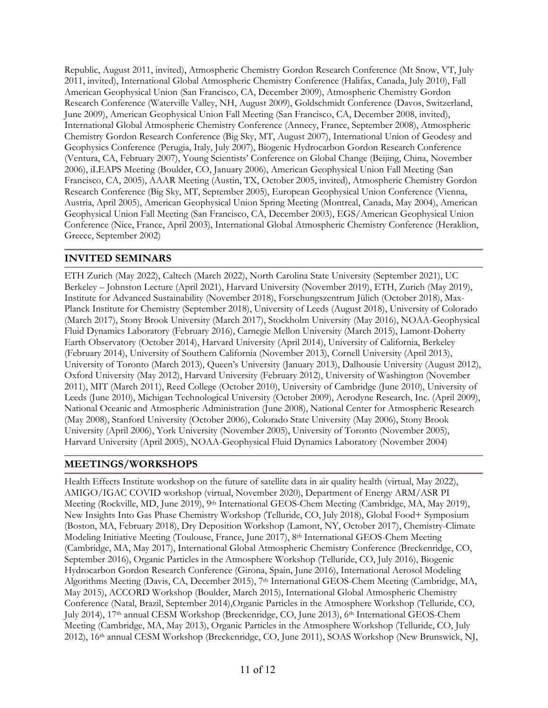Republic, August 2011, invited), Atmospheric Chemistry Gordon Research Conference (Mt Snow, VT, July 2011, invited), International Global Atmospheric Chemistry Conference (Halifax, Canada, July 2010), Fall American Geophysical Union (San Francisco, CA, December 2009), Atmospheric Chemistry Gordon Research Conference (Waterville Valley, NH, August 2009), Goldschmidt Conference (Davos, Switzerland, June 2009), American Geophysical Union Fall Meeting (San Francisco, CA, December 2008, invited), International Global Atmospheric Chemistry Conference (Annecy, France, September 2008), Atmospheric Chemistry Gordon Research Conference (Big Sky, MT, August 2007), International Union of Geodesy and Geophysics Conference (Perugia, Italy, July 2007), Biogenic Hydrocarbon Gordon Research Conference (Ventura, CA, February 2007), Young Scientists' Conference on Global Change (Beijing, China, November 2006), iLEAPS Meeting (Boulder, CO, January 2006), American Geophysical Union Fall Meeting (San Francisco, CA, 2005), AAAR Meeting (Austin, TX, October 2005, invited), Atmospheric Chemistry Gordon Research Conference (Big Sky, MT, September 2005), European Geophysical Union Conference (Vienna, Austria, April 2005), American Geophysical Union Spring Meeting (Montreal, Canada, May 2004), American Geophysical Union Fall Meeting (San Francisco, CA, December 2003), EGS/American Geophysical Union Conference (Nice, France, April 2003), International Global Atmospheric Chemistry Conference (Heraklion, Greece, September 2002)

### **INVITED SEMINARS**

ETH Zurich (May 2022), Caltech (March 2022), North Carolina State University (September 2021), UC Berkeley – Johnston Lecture (April 2021), Harvard University (November 2019), ETH, Zurich (May 2019), Institute for Advanced Sustainability (November 2018), Forschungszentrum Jülich (October 2018), Max-Planck Institute for Chemistry (September 2018), University of Leeds (August 2018), University of Colorado (March 2017), Stony Brook University (March 2017), Stockholm University (May 2016), NOAA-Geophysical Fluid Dynamics Laboratory (February 2016), Carnegie Mellon University (March 2015), Lamont-Doherty Earth Observatory (October 2014), Harvard University (April 2014), University of California, Berkeley (February 2014), University of Southern California (November 2013), Cornell University (April 2013), University of Toronto (March 2013), Queen's University (January 2013), Dalhousie University (August 2012), Oxford University (May 2012), Harvard University (February 2012), University of Washington (November 2011), MIT (March 2011), Reed College (October 2010), University of Cambridge (June 2010), University of Leeds (June 2010), Michigan Technological University (October 2009), Aerodyne Research, Inc. (April 2009), National Oceanic and Atmospheric Administration (June 2008), National Center for Atmospheric Research (May 2008), Stanford University (October 2006), Colorado State University (May 2006), Stony Brook University (April 2006), York University (November 2005), University of Toronto (November 2005), Harvard University (April 2005), NOAA-Geophysical Fluid Dynamics Laboratory (November 2004)

#### **MEETINGS/WORKSHOPS**

Health Effects Institute workshop on the future of satellite data in air quality health (virtual, May 2022), AMIGO/IGAC COVID workshop (virtual, November 2020), Department of Energy ARM/ASR PI Meeting (Rockville, MD, June 2019), 9th International GEOS-Chem Meeting (Cambridge, MA, May 2019), New Insights Into Gas Phase Chemistry Workshop (Telluride, CO, July 2018), Global Food+ Symposium (Boston, MA, February 2018), Dry Deposition Workshop (Lamont, NY, October 2017), Chemistry-Climate Modeling Initiative Meeting (Toulouse, France, June 2017), 8th International GEOS-Chem Meeting (Cambridge, MA, May 2017), International Global Atmospheric Chemistry Conference (Breckenridge, CO, September 2016), Organic Particles in the Atmosphere Workshop (Telluride, CO, July 2016), Biogenic Hydrocarbon Gordon Research Conference (Girona, Spain, June 2016), International Aerosol Modeling Algorithms Meeting (Davis, CA, December 2015), 7<sup>th</sup> International GEOS-Chem Meeting (Cambridge, MA, May 2015), ACCORD Workshop (Boulder, March 2015), International Global Atmospheric Chemistry Conference (Natal, Brazil, September 2014),Organic Particles in the Atmosphere Workshop (Telluride, CO, July 2014), 17<sup>th</sup> annual CESM Workshop (Breckenridge, CO, June 2013), 6<sup>th</sup> International GEOS-Chem Meeting (Cambridge, MA, May 2013), Organic Particles in the Atmosphere Workshop (Telluride, CO, July 2012), 16th annual CESM Workshop (Breckenridge, CO, June 2011), SOAS Workshop (New Brunswick, NJ,